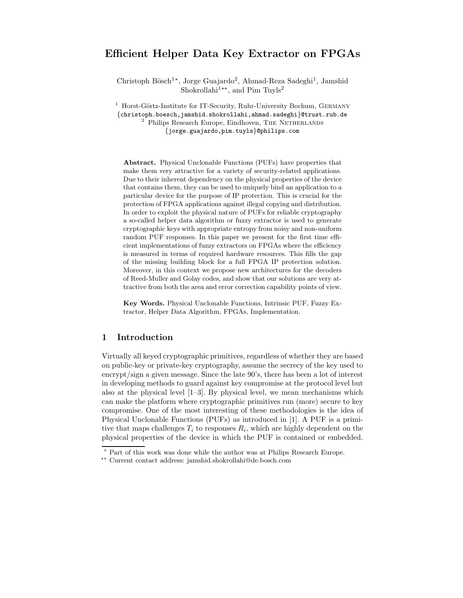# Efficient Helper Data Key Extractor on FPGAs

Christoph Bösch<sup>1\*</sup>, Jorge Guajardo<sup>2</sup>, Ahmad-Reza Sadeghi<sup>1</sup>, Jamshid Shokrollahi<sup>1\*\*</sup>, and Pim Tuyls<sup>2</sup>

 $1$  Horst-Görtz-Institute for IT-Security, Ruhr-University Bochum, GERMANY {christoph.boesch,jamshid.shokrollahi,ahmad.sadeghi}@trust.rub.de  $<sup>2</sup>$  Philips Research Europe, Eindhoven, THE NETHERLANDS</sup> {jorge.guajardo,pim.tuyls}@philips.com

Abstract. Physical Unclonable Functions (PUFs) have properties that make them very attractive for a variety of security-related applications. Due to their inherent dependency on the physical properties of the device that contains them, they can be used to uniquely bind an application to a particular device for the purpose of IP protection. This is crucial for the protection of FPGA applications against illegal copying and distribution. In order to exploit the physical nature of PUFs for reliable cryptography a so-called helper data algorithm or fuzzy extractor is used to generate cryptographic keys with appropriate entropy from noisy and non-uniform random PUF responses. In this paper we present for the first time efficient implementations of fuzzy extractors on FPGAs where the efficiency is measured in terms of required hardware resources. This fills the gap of the missing building block for a full FPGA IP protection solution. Moreover, in this context we propose new architectures for the decoders of Reed-Muller and Golay codes, and show that our solutions are very attractive from both the area and error correction capability points of view.

Key Words. Physical Unclonable Functions, Intrinsic PUF, Fuzzy Extractor, Helper Data Algorithm, FPGAs, Implementation.

### 1 Introduction

Virtually all keyed cryptographic primitives, regardless of whether they are based on public-key or private-key cryptography, assume the secrecy of the key used to encrypt/sign a given message. Since the late 90's, there has been a lot of interest in developing methods to guard against key compromise at the protocol level but also at the physical level [1–3]. By physical level, we mean mechanisms which can make the platform where cryptographic primitives run (more) secure to key compromise. One of the most interesting of these methodologies is the idea of Physical Unclonable Functions (PUFs) as introduced in [1]. A PUF is a primitive that maps challenges  $T_i$  to responses  $R_i$ , which are highly dependent on the physical properties of the device in which the PUF is contained or embedded.

<sup>?</sup> Part of this work was done while the author was at Philips Research Europe.

<sup>??</sup> Current contact address: jamshid.shokrollahi@de.bosch.com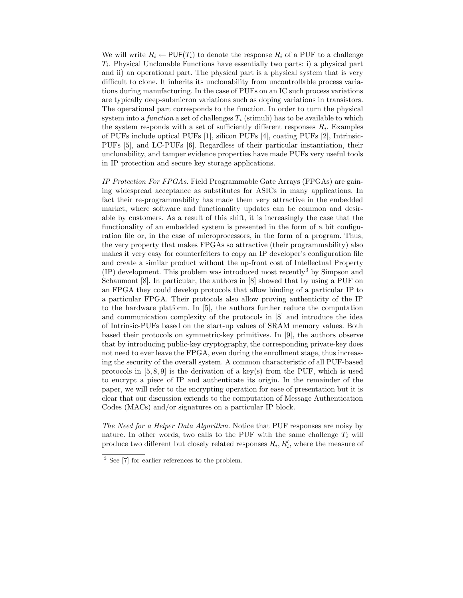We will write  $R_i \leftarrow \text{PUF}(T_i)$  to denote the response  $R_i$  of a PUF to a challenge  $T_i$ . Physical Unclonable Functions have essentially two parts: i) a physical part and ii) an operational part. The physical part is a physical system that is very difficult to clone. It inherits its unclonability from uncontrollable process variations during manufacturing. In the case of PUFs on an IC such process variations are typically deep-submicron variations such as doping variations in transistors. The operational part corresponds to the function. In order to turn the physical system into a *function* a set of challenges  $T_i$  (stimuli) has to be available to which the system responds with a set of sufficiently different responses  $R_i$ . Examples of PUFs include optical PUFs [1], silicon PUFs [4], coating PUFs [2], Intrinsic-PUFs [5], and LC-PUFs [6]. Regardless of their particular instantiation, their unclonability, and tamper evidence properties have made PUFs very useful tools in IP protection and secure key storage applications.

IP Protection For FPGAs. Field Programmable Gate Arrays (FPGAs) are gaining widespread acceptance as substitutes for ASICs in many applications. In fact their re-programmability has made them very attractive in the embedded market, where software and functionality updates can be common and desirable by customers. As a result of this shift, it is increasingly the case that the functionality of an embedded system is presented in the form of a bit configuration file or, in the case of microprocessors, in the form of a program. Thus, the very property that makes FPGAs so attractive (their programmability) also makes it very easy for counterfeiters to copy an IP developer's configuration file and create a similar product without the up-front cost of Intellectual Property (IP) development. This problem was introduced most recently<sup>3</sup> by Simpson and Schaumont [8]. In particular, the authors in [8] showed that by using a PUF on an FPGA they could develop protocols that allow binding of a particular IP to a particular FPGA. Their protocols also allow proving authenticity of the IP to the hardware platform. In [5], the authors further reduce the computation and communication complexity of the protocols in [8] and introduce the idea of Intrinsic-PUFs based on the start-up values of SRAM memory values. Both based their protocols on symmetric-key primitives. In [9], the authors observe that by introducing public-key cryptography, the corresponding private-key does not need to ever leave the FPGA, even during the enrollment stage, thus increasing the security of the overall system. A common characteristic of all PUF-based protocols in  $[5, 8, 9]$  is the derivation of a key(s) from the PUF, which is used to encrypt a piece of IP and authenticate its origin. In the remainder of the paper, we will refer to the encrypting operation for ease of presentation but it is clear that our discussion extends to the computation of Message Authentication Codes (MACs) and/or signatures on a particular IP block.

The Need for a Helper Data Algorithm. Notice that PUF responses are noisy by nature. In other words, two calls to the PUF with the same challenge  $T_i$  will produce two different but closely related responses  $R_i, R'_i$ , where the measure of

<sup>&</sup>lt;sup>3</sup> See  $\boxed{7}$  for earlier references to the problem.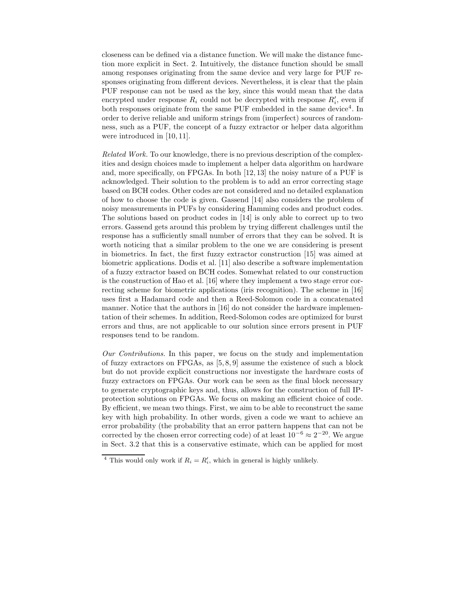closeness can be defined via a distance function. We will make the distance function more explicit in Sect. 2. Intuitively, the distance function should be small among responses originating from the same device and very large for PUF responses originating from different devices. Nevertheless, it is clear that the plain PUF response can not be used as the key, since this would mean that the data encrypted under response  $R_i$  could not be decrypted with response  $R'_i$ , even if both responses originate from the same PUF embedded in the same device<sup>4</sup>. In order to derive reliable and uniform strings from (imperfect) sources of randomness, such as a PUF, the concept of a fuzzy extractor or helper data algorithm were introduced in [10, 11].

Related Work. To our knowledge, there is no previous description of the complexities and design choices made to implement a helper data algorithm on hardware and, more specifically, on FPGAs. In both [12, 13] the noisy nature of a PUF is acknowledged. Their solution to the problem is to add an error correcting stage based on BCH codes. Other codes are not considered and no detailed explanation of how to choose the code is given. Gassend [14] also considers the problem of noisy measurements in PUFs by considering Hamming codes and product codes. The solutions based on product codes in [14] is only able to correct up to two errors. Gassend gets around this problem by trying different challenges until the response has a sufficiently small number of errors that they can be solved. It is worth noticing that a similar problem to the one we are considering is present in biometrics. In fact, the first fuzzy extractor construction [15] was aimed at biometric applications. Dodis et al. [11] also describe a software implementation of a fuzzy extractor based on BCH codes. Somewhat related to our construction is the construction of Hao et al. [16] where they implement a two stage error correcting scheme for biometric applications (iris recognition). The scheme in [16] uses first a Hadamard code and then a Reed-Solomon code in a concatenated manner. Notice that the authors in [16] do not consider the hardware implementation of their schemes. In addition, Reed-Solomon codes are optimized for burst errors and thus, are not applicable to our solution since errors present in PUF responses tend to be random.

Our Contributions. In this paper, we focus on the study and implementation of fuzzy extractors on FPGAs, as [5, 8, 9] assume the existence of such a block but do not provide explicit constructions nor investigate the hardware costs of fuzzy extractors on FPGAs. Our work can be seen as the final block necessary to generate cryptographic keys and, thus, allows for the construction of full IPprotection solutions on FPGAs. We focus on making an efficient choice of code. By efficient, we mean two things. First, we aim to be able to reconstruct the same key with high probability. In other words, given a code we want to achieve an error probability (the probability that an error pattern happens that can not be corrected by the chosen error correcting code) of at least  $10^{-6} \approx 2^{-20}$ . We argue in Sect. 3.2 that this is a conservative estimate, which can be applied for most

<sup>&</sup>lt;sup>4</sup> This would only work if  $R_i = R'_i$ , which in general is highly unlikely.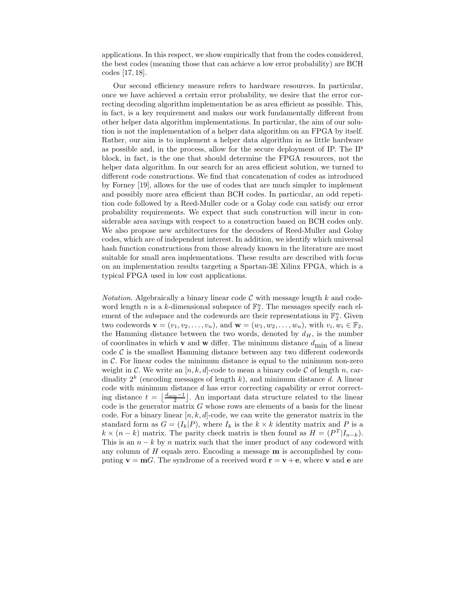applications. In this respect, we show empirically that from the codes considered, the best codes (meaning those that can achieve a low error probability) are BCH codes [17, 18].

Our second efficiency measure refers to hardware resources. In particular, once we have achieved a certain error probability, we desire that the error correcting decoding algorithm implementation be as area efficient as possible. This, in fact, is a key requirement and makes our work fundamentally different from other helper data algorithm implementations. In particular, the aim of our solution is not the implementation of a helper data algorithm on an FPGA by itself. Rather, our aim is to implement a helper data algorithm in as little hardware as possible and, in the process, allow for the secure deployment of IP. The IP block, in fact, is the one that should determine the FPGA resources, not the helper data algorithm. In our search for an area efficient solution, we turned to different code constructions. We find that concatenation of codes as introduced by Forney [19], allows for the use of codes that are much simpler to implement and possibly more area efficient than BCH codes. In particular, an odd repetition code followed by a Reed-Muller code or a Golay code can satisfy our error probability requirements. We expect that such construction will incur in considerable area savings with respect to a construction based on BCH codes only. We also propose new architectures for the decoders of Reed-Muller and Golay codes, which are of independent interest. In addition, we identify which universal hash function constructions from those already known in the literature are most suitable for small area implementations. These results are described with focus on an implementation results targeting a Spartan-3E Xilinx FPGA, which is a typical FPGA used in low cost applications.

*Notation.* Algebraically a binary linear code  $\mathcal C$  with message length  $k$  and codeword length  $n$  is a k-dimensional subspace of  $\mathbb{F}_2^n$ . The messages specify each element of the subspace and the codewords are their representations in  $\mathbb{F}_2^n$ . Given two codewords  $\mathbf{v} = (v_1, v_2, \dots, v_n)$ , and  $\mathbf{w} = (w_1, w_2, \dots, w_n)$ , with  $v_i, w_i \in \mathbb{F}_2$ , the Hamming distance between the two words, denoted by  $d_H$ , is the number of coordinates in which **v** and **w** differ. The minimum distance  $d_{\text{min}}$  of a linear code  $\mathcal C$  is the smallest Hamming distance between any two different codewords in  $\mathcal{C}$ . For linear codes the minimum distance is equal to the minimum non-zero weight in C. We write an  $[n, k, d]$ -code to mean a binary code C of length n, cardinality  $2^k$  (encoding messages of length k), and minimum distance d. A linear code with minimum distance d has error correcting capability or error correcting distance  $t = \left\lfloor \frac{d_{\min}-1}{2} \right\rfloor$ . An important data structure related to the linear code is the generator matrix  $G$  whose rows are elements of a basis for the linear code. For a binary linear  $[n, k, d]$ -code, we can write the generator matrix in the standard form as  $G = (I_k|P)$ , where  $I_k$  is the  $k \times k$  identity matrix and P is a  $k \times (n-k)$  matrix. The parity check matrix is then found as  $H = (P^T | I_{n-k}).$ This is an  $n - k$  by n matrix such that the inner product of any codeword with any column of  $H$  equals zero. Encoding a message  **is accomplished by com**puting  $\mathbf{v} = \mathbf{m}G$ . The syndrome of a received word  $\mathbf{r} = \mathbf{v} + \mathbf{e}$ , where  $\mathbf{v}$  and  $\mathbf{e}$  are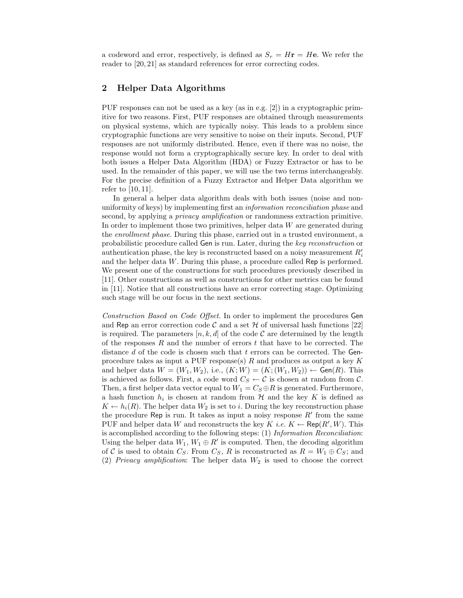a codeword and error, respectively, is defined as  $S_r = H\mathbf{r} = H\mathbf{e}$ . We refer the reader to [20, 21] as standard references for error correcting codes.

### 2 Helper Data Algorithms

PUF responses can not be used as a key (as in e.g. [2]) in a cryptographic primitive for two reasons. First, PUF responses are obtained through measurements on physical systems, which are typically noisy. This leads to a problem since cryptographic functions are very sensitive to noise on their inputs. Second, PUF responses are not uniformly distributed. Hence, even if there was no noise, the response would not form a cryptographically secure key. In order to deal with both issues a Helper Data Algorithm (HDA) or Fuzzy Extractor or has to be used. In the remainder of this paper, we will use the two terms interchangeably. For the precise definition of a Fuzzy Extractor and Helper Data algorithm we refer to [10, 11].

In general a helper data algorithm deals with both issues (noise and nonuniformity of keys) by implementing first an information reconciliation phase and second, by applying a privacy amplification or randomness extraction primitive. In order to implement those two primitives, helper data W are generated during the enrollment phase. During this phase, carried out in a trusted environment, a probabilistic procedure called Gen is run. Later, during the key reconstruction or authentication phase, the key is reconstructed based on a noisy measurement  $R_i'$ and the helper data W. During this phase, a procedure called Rep is performed. We present one of the constructions for such procedures previously described in [11]. Other constructions as well as constructions for other metrics can be found in [11]. Notice that all constructions have an error correcting stage. Optimizing such stage will be our focus in the next sections.

Construction Based on Code Offset. In order to implement the procedures Gen and Rep an error correction code C and a set  $\mathcal H$  of universal hash functions [22] is required. The parameters  $[n, k, d]$  of the code C are determined by the length of the responses R and the number of errors t that have to be corrected. The distance  $d$  of the code is chosen such that  $t$  errors can be corrected. The Genprocedure takes as input a PUF response(s)  $R$  and produces as output a key  $K$ and helper data  $W = (W_1, W_2)$ , i.e.,  $(K; W) = (K; (W_1, W_2)) \leftarrow \text{Gen}(R)$ . This is achieved as follows. First, a code word  $C_S \leftarrow C$  is chosen at random from C. Then, a first helper data vector equal to  $W_1 = C_S \oplus R$  is generated. Furthermore, a hash function  $h_i$  is chosen at random from  $\mathcal H$  and the key K is defined as  $K \leftarrow h_i(R)$ . The helper data  $W_2$  is set to *i*. During the key reconstruction phase the procedure Rep is run. It takes as input a noisy response  $R'$  from the same PUF and helper data W and reconstructs the key  $K$  *i.e.*  $K \leftarrow \mathsf{Rep}(R', W)$ . This is accomplished according to the following steps: (1) Information Reconciliation: Using the helper data  $W_1, W_1 \oplus R'$  is computed. Then, the decoding algorithm of C is used to obtain  $C_S$ . From  $C_S$ , R is reconstructed as  $R = W_1 \oplus C_S$ ; and (2) Privacy amplification: The helper data  $W_2$  is used to choose the correct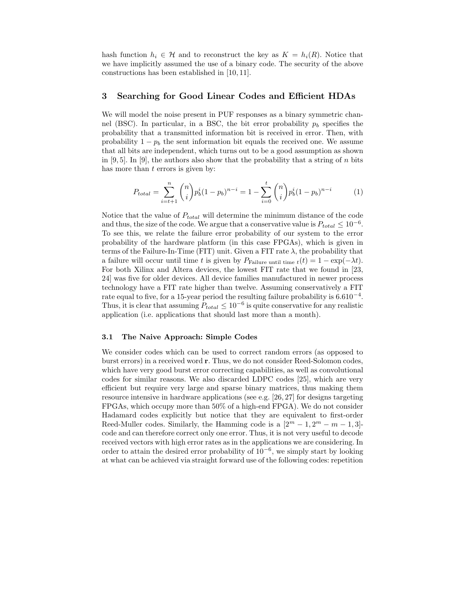hash function  $h_i \in \mathcal{H}$  and to reconstruct the key as  $K = h_i(R)$ . Notice that we have implicitly assumed the use of a binary code. The security of the above constructions has been established in [10, 11].

### 3 Searching for Good Linear Codes and Efficient HDAs

We will model the noise present in PUF responses as a binary symmetric channel (BSC). In particular, in a BSC, the bit error probability  $p_b$  specifies the probability that a transmitted information bit is received in error. Then, with probability  $1 - p_b$  the sent information bit equals the received one. We assume that all bits are independent, which turns out to be a good assumption as shown in [9, 5]. In [9], the authors also show that the probability that a string of n bits has more than  $t$  errors is given by:

$$
P_{total} = \sum_{i=t+1}^{n} {n \choose i} p_b^i (1 - p_b)^{n-i} = 1 - \sum_{i=0}^{t} {n \choose i} p_b^i (1 - p_b)^{n-i} \tag{1}
$$

Notice that the value of  $P_{total}$  will determine the minimum distance of the code and thus, the size of the code. We argue that a conservative value is  $P_{total} \leq 10^{-6}$ . To see this, we relate the failure error probability of our system to the error probability of the hardware platform (in this case FPGAs), which is given in terms of the Failure-In-Time (FIT) unit. Given a FIT rate  $\lambda$ , the probability that a failure will occur until time t is given by  $P_{\text{Failure until time } t}(t) = 1 - \exp(-\lambda t)$ . For both Xilinx and Altera devices, the lowest FIT rate that we found in [23, 24] was five for older devices. All device families manufactured in newer process technology have a FIT rate higher than twelve. Assuming conservatively a FIT rate equal to five, for a 15-year period the resulting failure probability is 6.610<sup>−</sup><sup>4</sup> . Thus, it is clear that assuming  $P_{total} \leq 10^{-6}$  is quite conservative for any realistic application (i.e. applications that should last more than a month).

### 3.1 The Naive Approach: Simple Codes

We consider codes which can be used to correct random errors (as opposed to burst errors) in a received word r. Thus, we do not consider Reed-Solomon codes, which have very good burst error correcting capabilities, as well as convolutional codes for similar reasons. We also discarded LDPC codes [25], which are very efficient but require very large and sparse binary matrices, thus making them resource intensive in hardware applications (see e.g. [26, 27] for designs targeting FPGAs, which occupy more than 50% of a high-end FPGA). We do not consider Hadamard codes explicitly but notice that they are equivalent to first-order Reed-Muller codes. Similarly, the Hamming code is a  $[2^m - 1, 2^m - m - 1, 3]$ code and can therefore correct only one error. Thus, it is not very useful to decode received vectors with high error rates as in the applications we are considering. In order to attain the desired error probability of  $10^{-6}$ , we simply start by looking at what can be achieved via straight forward use of the following codes: repetition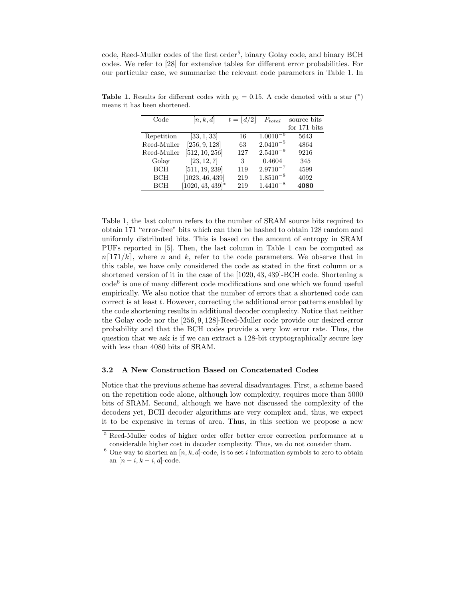code, Reed-Muller codes of the first order<sup>5</sup>, binary Golay code, and binary BCH codes. We refer to [28] for extensive tables for different error probabilities. For our particular case, we summarize the relevant code parameters in Table 1. In

| Code        |                     |             |               | source bits  |
|-------------|---------------------|-------------|---------------|--------------|
|             | [n,k,d]             | $t =  d/2 $ | $P_{total}$   |              |
|             |                     |             |               | for 171 bits |
| Repetition  | [33, 1, 33]         | 16          | $1.0010^{-6}$ | 5643         |
| Reed-Muller | [256, 9, 128]       | 63          | $2.0410^{-5}$ | 4864         |
| Reed-Muller | [512, 10, 256]      | 127         | $2.5410^{-9}$ | 9216         |
| Golay       | [23, 12, 7]         | 3           | 0.4604        | 345          |
| BCH         | [511, 19, 239]      | 119         | $2.9710^{-7}$ | 4599         |
| BCH         | [1023, 46, 439]     | 219         | $1.8510^{-8}$ | 4092         |
| BCH         | $[1020, 43, 439]$ * | 219         | $1.4410^{-8}$ | 4080         |

Table 1. Results for different codes with  $p_b = 0.15$ . A code denoted with a star (\*) means it has been shortened.

Table 1, the last column refers to the number of SRAM source bits required to obtain 171 "error-free" bits which can then be hashed to obtain 128 random and uniformly distributed bits. This is based on the amount of entropy in SRAM PUFs reported in [5]. Then, the last column in Table 1 can be computed as  $n[171/k]$ , where n and k, refer to the code parameters. We observe that in this table, we have only considered the code as stated in the first column or a shortened version of it in the case of the [1020, 43, 439]-BCH code. Shortening a code<sup>6</sup> is one of many different code modifications and one which we found useful empirically. We also notice that the number of errors that a shortened code can correct is at least  $t$ . However, correcting the additional error patterns enabled by the code shortening results in additional decoder complexity. Notice that neither the Golay code nor the [256, 9, 128]-Reed-Muller code provide our desired error probability and that the BCH codes provide a very low error rate. Thus, the question that we ask is if we can extract a 128-bit cryptographically secure key with less than 4080 bits of SRAM.

#### 3.2 A New Construction Based on Concatenated Codes

Notice that the previous scheme has several disadvantages. First, a scheme based on the repetition code alone, although low complexity, requires more than 5000 bits of SRAM. Second, although we have not discussed the complexity of the decoders yet, BCH decoder algorithms are very complex and, thus, we expect it to be expensive in terms of area. Thus, in this section we propose a new

<sup>5</sup> Reed-Muller codes of higher order offer better error correction performance at a considerable higher cost in decoder complexity. Thus, we do not consider them.

<sup>&</sup>lt;sup>6</sup> One way to shorten an  $[n, k, d]$ -code, is to set *i* information symbols to zero to obtain an  $[n-i, k-i, d]$ -code.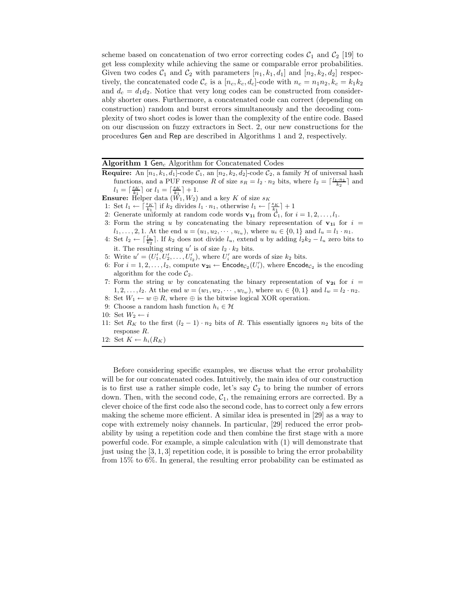scheme based on concatenation of two error correcting codes  $C_1$  and  $C_2$  [19] to get less complexity while achieving the same or comparable error probabilities. Given two codes  $C_1$  and  $C_2$  with parameters  $[n_1, k_1, d_1]$  and  $[n_2, k_2, d_2]$  respectively, the concatenated code  $\mathcal{C}_c$  is a  $[n_c, k_c, d_c]$ -code with  $n_c = n_1 n_2, k_c = k_1 k_2$ and  $d_c = d_1 d_2$ . Notice that very long codes can be constructed from considerably shorter ones. Furthermore, a concatenated code can correct (depending on construction) random and burst errors simultaneously and the decoding complexity of two short codes is lower than the complexity of the entire code. Based on our discussion on fuzzy extractors in Sect. 2, our new constructions for the procedures Gen and Rep are described in Algorithms 1 and 2, respectively.

Algorithm 1 Gen<sub>c</sub> Algorithm for Concatenated Codes

**Require:** An  $[n_1, k_1, d_1]$ -code  $C_1$ , an  $[n_2, k_2, d_2]$ -code  $C_2$ , a family  $H$  of universal hash functions, and a PUF response R of size  $s_R = l_2 \cdot n_2$  bits, where  $l_2 = \lceil \frac{l_1 \cdot n_1}{k_2} \rceil$  and  $l_1 = \lceil \frac{s_K}{k_1} \rceil$  or  $l_1 = \lceil \frac{s_K}{k_1} \rceil + 1$ .

- **Ensure:** Helper data  $(W_1, W_2)$  and a key K of size  $s_K$
- 1: Set  $l_1 \leftarrow \lceil \frac{s_K}{k_1} \rceil$  if  $k_2$  divides  $l_1 \cdot n_1$ , otherwise  $l_1 \leftarrow \lceil \frac{s_K}{k_1} \rceil + 1$
- 2: Generate uniformly at random code words  $\mathbf{v}_{1i}$  from  $\tilde{\mathcal{C}}_1$ , for  $i = 1, 2, \ldots, l_1$ .
- 3: Form the string u by concatenating the binary representation of  $v_{1i}$  for  $i =$  $l_1, \ldots, 2, 1$ . At the end  $u = (u_1, u_2, \cdots, u_{l_u})$ , where  $u_i \in \{0, 1\}$  and  $l_u = l_1 \cdot n_1$ .
- 4: Set  $l_2 \leftarrow \lceil \frac{l_u}{k_2} \rceil$ . If  $k_2$  does not divide  $l_u$ , extend u by adding  $l_2k_2 l_u$  zero bits to it. The resulting string u' is of size  $l_2 \cdot k_2$  bits.
- 5: Write  $u' = (U'_1, U'_2, \ldots, U'_{l_2})$ , where  $U'_i$  are words of size  $k_2$  bits.
- 6: For  $i = 1, 2, \ldots, l_2$ , compute  $\mathbf{v}_{2i} \leftarrow \mathsf{Encode}_{\mathcal{C}_2}(U_i')$ , where  $\mathsf{Encode}_{\mathcal{C}_2}$  is the encoding algorithm for the code  $C_2$ .
- 7: Form the string w by concatenating the binary representation of  $v_{2i}$  for  $i =$ 1, 2, ...,  $l_2$ . At the end  $w = (w_1, w_2, \dots, w_{l_w})$ , where  $w_i \in \{0, 1\}$  and  $l_w = l_2 \cdot n_2$ .
- 8: Set  $W_1 \leftarrow w \oplus R$ , where  $\oplus$  is the bitwise logical XOR operation.
- 9: Choose a random hash function  $h_i \in \mathcal{H}$
- 10: Set  $W_2 \leftarrow i$
- 11: Set  $R_K$  to the first  $(l_2 1) \cdot n_2$  bits of R. This essentially ignores  $n_2$  bits of the response R.
- 12: Set  $K \leftarrow h_i(R_K)$

Before considering specific examples, we discuss what the error probability will be for our concatenated codes. Intuitively, the main idea of our construction is to first use a rather simple code, let's say  $\mathcal{C}_2$  to bring the number of errors down. Then, with the second code,  $C_1$ , the remaining errors are corrected. By a clever choice of the first code also the second code, has to correct only a few errors making the scheme more efficient. A similar idea is presented in [29] as a way to cope with extremely noisy channels. In particular, [29] reduced the error probability by using a repetition code and then combine the first stage with a more powerful code. For example, a simple calculation with (1) will demonstrate that just using the  $[3, 1, 3]$  repetition code, it is possible to bring the error probability from 15% to 6%. In general, the resulting error probability can be estimated as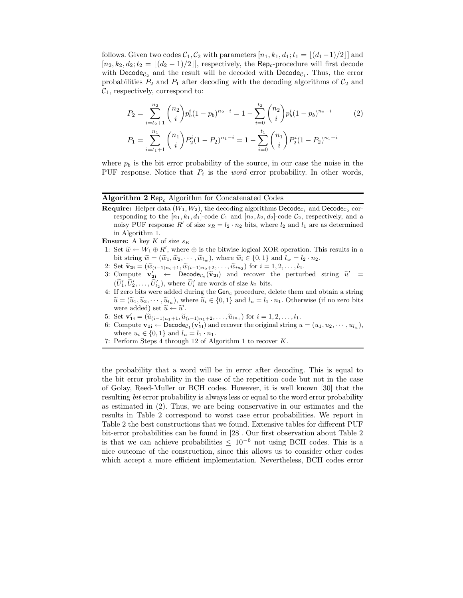follows. Given two codes  $C_1$ ,  $C_2$  with parameters  $[n_1, k_1, d_1; t_1 = |(d_1-1)/2|]$  and  $[n_2, k_2, d_2; t_2 = \lfloor (d_2 - 1)/2 \rfloor]$ , respectively, the Rep<sub>c</sub>-procedure will first decode with  $Decode_{C_2}$  and the result will be decoded with  $Decode_{C_1}$ . Thus, the error probabilities  $P_2$  and  $P_1$  after decoding with the decoding algorithms of  $C_2$  and  $\mathcal{C}_1$ , respectively, correspond to:

$$
P_2 = \sum_{i=t_2+1}^{n_2} {n_2 \choose i} p_b^i (1-p_b)^{n_2-i} = 1 - \sum_{i=0}^{t_2} {n_2 \choose i} p_b^i (1-p_b)^{n_2-i} \qquad (2)
$$
  

$$
P_1 = \sum_{i=t_1+1}^{n_1} {n_1 \choose i} P_2^i (1-P_2)^{n_1-i} = 1 - \sum_{i=0}^{t_1} {n_1 \choose i} P_2^i (1-P_2)^{n_1-i}
$$

where  $p_b$  is the bit error probability of the source, in our case the noise in the PUF response. Notice that  $P_i$  is the *word* error probability. In other words,

#### Algorithm  $2$  Rep<sub>c</sub> Algorithm for Concatenated Codes

**Require:** Helper data  $(W_1, W_2)$ , the decoding algorithms  $\textsf{Decode}_{\mathcal{C}_1}$  and  $\textsf{Decode}_{\mathcal{C}_2}$  corresponding to the  $[n_1, k_1, d_1]$ -code  $\mathcal{C}_1$  and  $[n_2, k_2, d_2]$ -code  $\mathcal{C}_2$ , respectively, and a noisy PUF response R' of size  $s_R = l_2 \cdot n_2$  bits, where  $l_2$  and  $l_1$  are as determined in Algorithm 1.

**Ensure:** A key K of size  $s_K$ 

- 1: Set  $\widetilde{w} \leftarrow W_1 \oplus R'$ , where  $\oplus$  is the bitwise logical XOR operation. This results in a bit string  $\widetilde{w} = (\widetilde{w}_1, \widetilde{w}_2, \cdots, \widetilde{w}_{l_w})$ , where  $\widetilde{w}_i \in \{0, 1\}$  and  $l_w = l_2 \cdot n_2$ .
- 2: Set  $\widetilde{\mathbf{v}}_{2i} = (\widetilde{w}_{(i-1)n_2+1}, \widetilde{w}_{(i-1)n_2+2}, \dots, \widetilde{w}_{in_2})$  for  $i = 1, 2, \dots, l_2$ .
- 3: Compute  $\mathbf{v}_{2i}^{\prime} \leftarrow$  Decode<sub>C2</sub>( $\tilde{\mathbf{v}}_{2i}$ ) and recover the perturbed string  $\tilde{u}^{\prime} =$  $(\widetilde{U}'_1, \widetilde{U}'_2, \ldots, \widetilde{U}'_{l_2}),$  where  $\widetilde{U}'_i$  are words of size  $k_2$  bits.
- 4: If zero bits were added during the  $Gen<sub>c</sub>$  procedure, delete them and obtain a string  $\tilde{u} = (\tilde{u}_1, \tilde{u}_2, \cdots, \tilde{u}_{l_u}),$  where  $\tilde{u}_i \in \{0, 1\}$  and  $l_u = l_1 \cdot n_1$ . Otherwise (if no zero bits were added) set  $\widetilde{u} \leftarrow \widetilde{u}'$ .
- 5: Set  $\mathbf{v'_{1i}} = (\tilde{u}_{(i-1)n_1+1}, \tilde{u}_{(i-1)n_1+2}, \dots, \tilde{u}_{in_1})$  for  $i = 1, 2, \dots, l_1$ .
- 6: Compute  $\mathbf{v}_{1i} \leftarrow \text{Decode}_{c_1}(\mathbf{v}_{1i}')$  and recover the original string  $u = (u_1, u_2, \dots, u_{l_u})$ , where  $u_i \in \{0, 1\}$  and  $l_u = l_1 \cdot n_1$ .
- 7: Perform Steps 4 through 12 of Algorithm 1 to recover K.

the probability that a word will be in error after decoding. This is equal to the bit error probability in the case of the repetition code but not in the case of Golay, Reed-Muller or BCH codes. However, it is well known [30] that the resulting bit error probability is always less or equal to the word error probability as estimated in (2). Thus, we are being conservative in our estimates and the results in Table 2 correspond to worst case error probabilities. We report in Table 2 the best constructions that we found. Extensive tables for different PUF bit-error probabilities can be found in [28]. Our first observation about Table 2 is that we can achieve probabilities  $\leq 10^{-6}$  not using BCH codes. This is a nice outcome of the construction, since this allows us to consider other codes which accept a more efficient implementation. Nevertheless, BCH codes error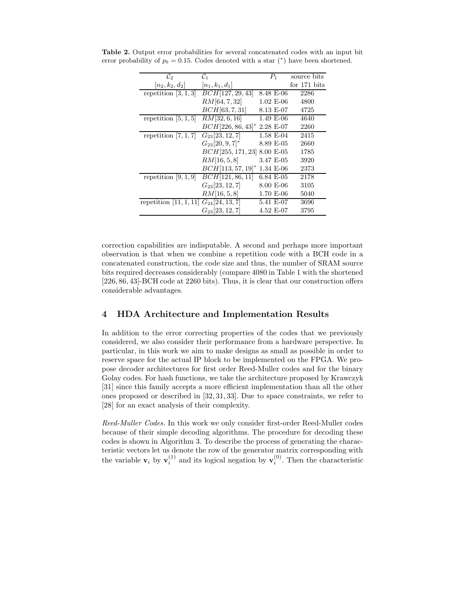| Co                                          | $\mathcal{C}_1$                 | $P_{1}$     | source bits  |
|---------------------------------------------|---------------------------------|-------------|--------------|
| $[n_2, k_2, d_2]$                           | $[n_1, k_1, d_1]$               |             | for 171 bits |
| repetition $[3, 1, 3]$                      | BCH[127, 29, 43]                | 8.48 E-06   | 2286         |
|                                             | RM[64, 7, 32]                   | $1.02$ E-06 | 4800         |
|                                             | BCH[63, 7, 31]                  | 8.13 E-07   | 4725         |
| repetition $[5, 1, 5]$                      | RM[32, 6, 16]                   | 1.49 E-06   | 4640         |
|                                             | $BCH[226, 86, 43]^*$            | 2.28 E-07   | 2260         |
| repetition $[7, 1, 7]$                      | $G_{23}[23, 12, 7]$             | 1.58 E-04   | 2415         |
|                                             | $G_{23}[20, 9, 7]^*$            | 8.89 E-05   | 2660         |
|                                             | $BCH[255, 171, 23]$ 8.00 E-05   |             | 1785         |
|                                             | RM[16, 5, 8]                    | 3.47 E-05   | 3920         |
|                                             | $BCH[113, 57, 19]$ <sup>*</sup> | 1.34 E-06   | 2373         |
| repetition $[9, 1, 9]$                      | BCH[121, 86, 11]                | 6.84 E-05   | 2178         |
|                                             | $G_{23}[23, 12, 7]$             | $8.00 E-06$ | 3105         |
|                                             | RM[16, 5, 8]                    | $1.70 E-06$ | 5040         |
| repetition [11, 1, 11] $G_{24}$ [24, 13, 7] |                                 | 5.41 E-07   | 3696         |
|                                             | $G_{23}[23, 12, 7]$             | 4.52 E-07   | 3795         |

Table 2. Output error probabilities for several concatenated codes with an input bit error probability of  $p_b = 0.15$ . Codes denoted with a star (\*) have been shortened.

correction capabilities are indisputable. A second and perhaps more important observation is that when we combine a repetition code with a BCH code in a concatenated construction, the code size and thus, the number of SRAM source bits required decreases considerably (compare 4080 in Table 1 with the shortened [226, 86, 43]-BCH code at 2260 bits). Thus, it is clear that our construction offers considerable advantages.

### 4 HDA Architecture and Implementation Results

In addition to the error correcting properties of the codes that we previously considered, we also consider their performance from a hardware perspective. In particular, in this work we aim to make designs as small as possible in order to reserve space for the actual IP block to be implemented on the FPGA. We propose decoder architectures for first order Reed-Muller codes and for the binary Golay codes. For hash functions, we take the architecture proposed by Krawczyk [31] since this family accepts a more efficient implementation than all the other ones proposed or described in [32, 31, 33]. Due to space constraints, we refer to [28] for an exact analysis of their complexity.

Reed-Muller Codes. In this work we only consider first-order Reed-Muller codes because of their simple decoding algorithms. The procedure for decoding these codes is shown in Algorithm 3. To describe the process of generating the characteristic vectors let us denote the row of the generator matrix corresponding with the variable  $\mathbf{v}_i$  by  $\mathbf{v}_i^{(1)}$  and its logical negation by  $\mathbf{v}_i^{(0)}$ . Then the characteristic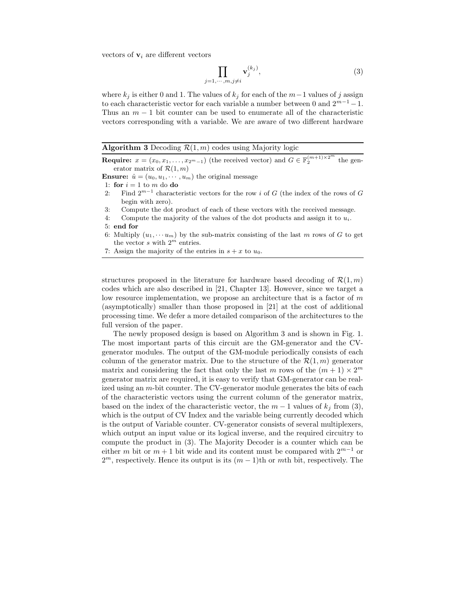vectors of  $v_i$  are different vectors

$$
\prod_{j=1,\cdots,m,j\neq i} \mathbf{v}_j^{(k_j)},\tag{3}
$$

where  $k_j$  is either 0 and 1. The values of  $k_j$  for each of the  $m-1$  values of j assign to each characteristic vector for each variable a number between 0 and  $2^{m-1} - 1$ . Thus an  $m-1$  bit counter can be used to enumerate all of the characteristic vectors corresponding with a variable. We are aware of two different hardware

#### Algorithm 3 Decoding  $\mathcal{R}(1,m)$  codes using Majority logic

**Require:**  $x = (x_0, x_1, \ldots, x_{2^m-1})$  (the received vector) and  $G \in \mathbb{F}_2^{(m+1)\times 2^m}$ the generator matrix of  $\mathcal{R}(1,m)$ 

**Ensure:**  $\hat{u} = (u_0, u_1, \dots, u_m)$  the original message

- 1: for  $i = 1$  to m do do
- 2: Find  $2^{m-1}$  characteristic vectors for the row i of G (the index of the rows of G begin with zero).
- 3: Compute the dot product of each of these vectors with the received message.
- 4: Compute the majority of the values of the dot products and assign it to  $u_i$ .
- 5: end for
- 6: Multiply  $(u_1, \dots, u_m)$  by the sub-matrix consisting of the last m rows of G to get the vector  $s$  with  $2^m$  entries.
- 7: Assign the majority of the entries in  $s + x$  to  $u_0$ .

structures proposed in the literature for hardware based decoding of  $\mathcal{R}(1,m)$ codes which are also described in [21, Chapter 13]. However, since we target a low resource implementation, we propose an architecture that is a factor of  $m$ (asymptotically) smaller than those proposed in [21] at the cost of additional processing time. We defer a more detailed comparison of the architectures to the full version of the paper.

The newly proposed design is based on Algorithm 3 and is shown in Fig. 1. The most important parts of this circuit are the GM-generator and the CVgenerator modules. The output of the GM-module periodically consists of each column of the generator matrix. Due to the structure of the  $\mathcal{R}(1,m)$  generator matrix and considering the fact that only the last m rows of the  $(m + 1) \times 2^m$ generator matrix are required, it is easy to verify that GM-generator can be realized using an m-bit counter. The CV-generator module generates the bits of each of the characteristic vectors using the current column of the generator matrix, based on the index of the characteristic vector, the  $m-1$  values of  $k_j$  from (3), which is the output of CV Index and the variable being currently decoded which is the output of Variable counter. CV-generator consists of several multiplexers, which output an input value or its logical inverse, and the required circuitry to compute the product in (3). The Majority Decoder is a counter which can be either m bit or  $m + 1$  bit wide and its content must be compared with  $2^{m-1}$  or  $2<sup>m</sup>$ , respectively. Hence its output is its  $(m-1)$ th or mth bit, respectively. The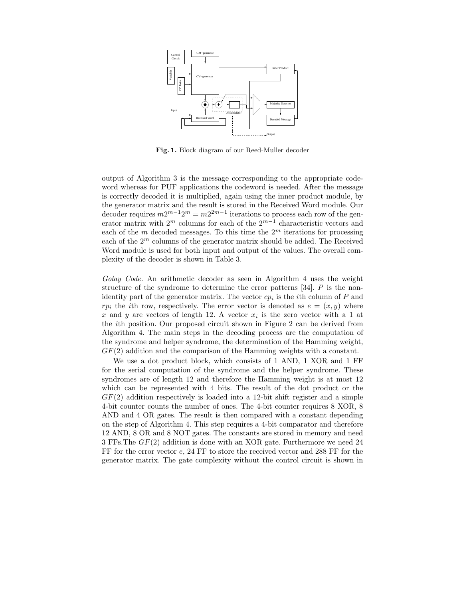

Fig. 1. Block diagram of our Reed-Muller decoder

output of Algorithm 3 is the message corresponding to the appropriate codeword whereas for PUF applications the codeword is needed. After the message is correctly decoded it is multiplied, again using the inner product module, by the generator matrix and the result is stored in the Received Word module. Our decoder requires  $m2^{m-1}2^m = m2^{2m-1}$  iterations to process each row of the generator matrix with  $2^m$  columns for each of the  $2^{m-1}$  characteristic vectors and each of the  $m$  decoded messages. To this time the  $2<sup>m</sup>$  iterations for processing each of the  $2^m$  columns of the generator matrix should be added. The Received Word module is used for both input and output of the values. The overall complexity of the decoder is shown in Table 3.

Golay Code. An arithmetic decoder as seen in Algorithm 4 uses the weight structure of the syndrome to determine the error patterns  $[34]$ . P is the nonidentity part of the generator matrix. The vector  $cp<sub>i</sub>$  is the *i*th column of P and  $rp_i$  the *i*th row, respectively. The error vector is denoted as  $e = (x, y)$  where x and y are vectors of length 12. A vector  $x_i$  is the zero vector with a 1 at the ith position. Our proposed circuit shown in Figure 2 can be derived from Algorithm 4. The main steps in the decoding process are the computation of the syndrome and helper syndrome, the determination of the Hamming weight,  $GF(2)$  addition and the comparison of the Hamming weights with a constant.

We use a dot product block, which consists of 1 AND, 1 XOR and 1 FF for the serial computation of the syndrome and the helper syndrome. These syndromes are of length 12 and therefore the Hamming weight is at most 12 which can be represented with 4 bits. The result of the dot product or the  $GF(2)$  addition respectively is loaded into a 12-bit shift register and a simple 4-bit counter counts the number of ones. The 4-bit counter requires 8 XOR, 8 AND and 4 OR gates. The result is then compared with a constant depending on the step of Algorithm 4. This step requires a 4-bit comparator and therefore 12 AND, 8 OR and 8 NOT gates. The constants are stored in memory and need 3 FFs. The  $GF(2)$  addition is done with an XOR gate. Furthermore we need 24 FF for the error vector e, 24 FF to store the received vector and 288 FF for the generator matrix. The gate complexity without the control circuit is shown in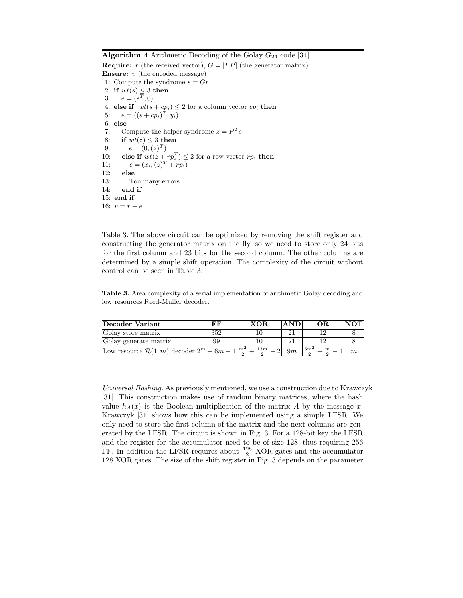**Algorithm 4** Arithmetic Decoding of the Golay  $G_{24}$  code [34]

**Require:** r (the received vector),  $G = [I]P$  (the generator matrix) **Ensure:**  $v$  (the encoded message) 1: Compute the syndrome  $s = Gr$ 2: if  $wt(s) \leq 3$  then 3:  $e = (s^{\overline{T}}, 0)$ 4: else if  $wt(s + cp_i) \leq 2$  for a column vector  $cp_i$  then 5:  $e = ((s + cp_i)^T, y_i)$ 6: else 7: Compute the helper syndrome  $z = P^T s$ 8: if  $wt(z) \leq 3$  then 9:  $e = (0, (z)^T)$ 10: **else if**  $wt(z + rp_i^T) \leq 2$  for a row vector  $rp_i$  then 11:  $e = (x_i, (z)^T + rp_i)$ 12: else 13: Too many errors 14: end if 15: end if 16:  $v = r + e$ 

Table 3. The above circuit can be optimized by removing the shift register and constructing the generator matrix on the fly, so we need to store only 24 bits for the first column and 23 bits for the second column. The other columns are determined by a simple shift operation. The complexity of the circuit without control can be seen in Table 3.

Table 3. Area complexity of a serial implementation of arithmetic Golay decoding and low resources Reed-Muller decoder.

| Decoder Variant                                      | FF  | <b>XOR</b>        | AND | ОR                         | <b>INOT</b> |
|------------------------------------------------------|-----|-------------------|-----|----------------------------|-------------|
| Golay store matrix                                   | 352 |                   |     |                            |             |
| Golay generate matrix                                | 99  |                   |     |                            |             |
| Low resource $\mathcal{R}(1,m)$ decoder $2^m + 6m$ . |     | $^{13m}$<br>$m^*$ | 9m  | $5m^2$<br>$\boldsymbol{m}$ | m           |

Universal Hashing. As previously mentioned, we use a construction due to Krawczyk [31]. This construction makes use of random binary matrices, where the hash value  $h_A(x)$  is the Boolean multiplication of the matrix A by the message x. Krawczyk [31] shows how this can be implemented using a simple LFSR. We only need to store the first column of the matrix and the next columns are generated by the LFSR. The circuit is shown in Fig. 3. For a 128-bit key the LFSR and the register for the accumulator need to be of size 128, thus requiring 256 FF. In addition the LFSR requires about  $\frac{128}{2}$  XOR gates and the accumulator 128 XOR gates. The size of the shift register in Fig. 3 depends on the parameter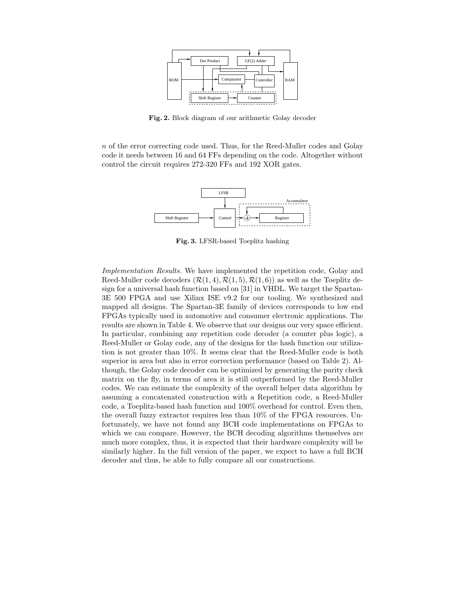

Fig. 2. Block diagram of our arithmetic Golay decoder

n of the error correcting code used. Thus, for the Reed-Muller codes and Golay code it needs between 16 and 64 FFs depending on the code. Altogether without control the circuit requires 272-320 FFs and 192 XOR gates.



Fig. 3. LFSR-based Toeplitz hashing

Implementation Results. We have implemented the repetition code, Golay and Reed-Muller code decoders  $(R(1, 4), R(1, 5), R(1, 6))$  as well as the Toeplitz design for a universal hash function based on [31] in VHDL. We target the Spartan-3E 500 FPGA and use Xilinx ISE v9.2 for our tooling. We synthesized and mapped all designs. The Spartan-3E family of devices corresponds to low end FPGAs typically used in automotive and consumer electronic applications. The results are shown in Table 4. We observe that our designs our very space efficient. In particular, combining any repetition code decoder (a counter plus logic), a Reed-Muller or Golay code, any of the designs for the hash function our utilization is not greater than 10%. It seems clear that the Reed-Muller code is both superior in area but also in error correction performance (based on Table 2). Although, the Golay code decoder can be optimized by generating the parity check matrix on the fly, in terms of area it is still outperformed by the Reed-Muller codes. We can estimate the complexity of the overall helper data algorithm by assuming a concatenated construction with a Repetition code, a Reed-Muller code, a Toeplitz-based hash function and 100% overhead for control. Even then, the overall fuzzy extractor requires less than 10% of the FPGA resources. Unfortunately, we have not found any BCH code implementations on FPGAs to which we can compare. However, the BCH decoding algorithms themselves are much more complex, thus, it is expected that their hardware complexity will be similarly higher. In the full version of the paper, we expect to have a full BCH decoder and thus, be able to fully compare all our constructions.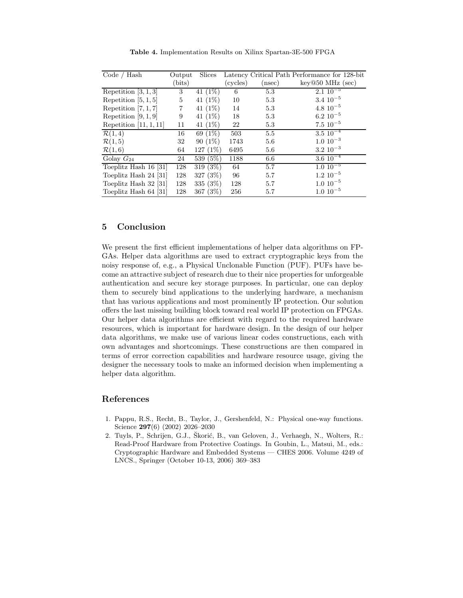| Code / Hash              | Output | <b>Slices</b> |          |        | Latency Critical Path Performance for 128-bit |
|--------------------------|--------|---------------|----------|--------|-----------------------------------------------|
|                          | (bits) |               | (cycles) | (nsec) | $key@50$ MHz (sec)                            |
| Repetition $[3, 1, 3]$   | 3      | 41 (1\%)      | 6        | 5.3    | $2.1 \overline{10^{-5}}$                      |
| Repetition $[5, 1, 5]$   | 5      | 41 $(1\%)$    | 10       | 5.3    | $3.4~10^{-5}$                                 |
| Repetition $[7, 1, 7]$   | 7      | 41 $(1\%)$    | 14       | 5.3    | $4.8 \, 10^{-5}$                              |
| Repetition $[9, 1, 9]$   | 9      | 41 $(1\%)$    | 18       | 5.3    | $6.2~10^{-5}$                                 |
| Repetition $[11, 1, 11]$ | 11     | 41 $(1\%)$    | 22       | 5.3    | $7.5 \, 10^{-5}$                              |
| $\mathcal{R}(1,4)$       | 16     | 69 $(1\%)$    | 503      | 5.5    | $3.5 \times 10^{-4}$                          |
| $\mathcal{R}(1,5)$       | 32     | 90 $(1\%)$    | 1743     | 5.6    | $1.0 \, 10^{-3}$                              |
| $\mathcal{R}(1,6)$       | 64     | 127 $(1%)$    | 6495     | 5.6    | $3.2 \, 10^{-3}$                              |
| Golay $G_{24}$           | 24     | 539 (5%)      | 1188     | 6.6    | $3.6 \; 10^{-4}$                              |
| Toeplitz Hash 16 [31]    | 128    | 319 (3%)      | 64       | 5.7    | $1.0 \; 10^{-5}$                              |
| Toeplitz Hash 24 [31]    | 128    | 327 (3%)      | 96       | 5.7    | $1.2~10^{-5}$                                 |
| Toeplitz Hash 32 [31]    | 128    | 335 (3%)      | 128      | 5.7    | $1.0 \, 10^{-5}$                              |
| Toeplitz Hash 64 [31]    | 128    | 367 $(3%)$    | 256      | 5.7    | $1.0 \, 10^{-5}$                              |

Table 4. Implementation Results on Xilinx Spartan-3E-500 FPGA

### 5 Conclusion

We present the first efficient implementations of helper data algorithms on FP-GAs. Helper data algorithms are used to extract cryptographic keys from the noisy response of, e.g., a Physical Unclonable Function (PUF). PUFs have become an attractive subject of research due to their nice properties for unforgeable authentication and secure key storage purposes. In particular, one can deploy them to securely bind applications to the underlying hardware, a mechanism that has various applications and most prominently IP protection. Our solution offers the last missing building block toward real world IP protection on FPGAs. Our helper data algorithms are efficient with regard to the required hardware resources, which is important for hardware design. In the design of our helper data algorithms, we make use of various linear codes constructions, each with own advantages and shortcomings. These constructions are then compared in terms of error correction capabilities and hardware resource usage, giving the designer the necessary tools to make an informed decision when implementing a helper data algorithm.

## References

- 1. Pappu, R.S., Recht, B., Taylor, J., Gershenfeld, N.: Physical one-way functions. Science 297(6) (2002) 2026–2030
- 2. Tuyls, P., Schrijen, G.J., Škorić, B., van Geloven, J., Verhaegh, N., Wolters, R.: Read-Proof Hardware from Protective Coatings. In Goubin, L., Matsui, M., eds.: Cryptographic Hardware and Embedded Systems — CHES 2006. Volume 4249 of LNCS., Springer (October 10-13, 2006) 369–383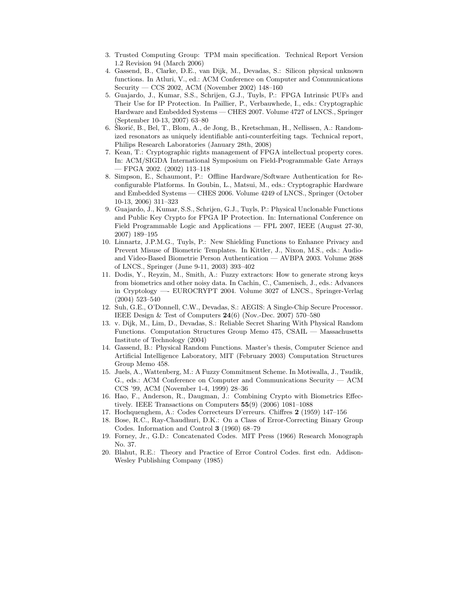- 3. Trusted Computing Group: TPM main specification. Technical Report Version 1.2 Revision 94 (March 2006)
- 4. Gassend, B., Clarke, D.E., van Dijk, M., Devadas, S.: Silicon physical unknown functions. In Atluri, V., ed.: ACM Conference on Computer and Communications Security — CCS 2002, ACM (November 2002) 148–160
- 5. Guajardo, J., Kumar, S.S., Schrijen, G.J., Tuyls, P.: FPGA Intrinsic PUFs and Their Use for IP Protection. In Paillier, P., Verbauwhede, I., eds.: Cryptographic Hardware and Embedded Systems — CHES 2007. Volume 4727 of LNCS., Springer (September 10-13, 2007) 63–80
- 6. Škorić, B., Bel, T., Blom, A., de Jong, B., Kretschman, H., Nellissen, A.: Randomized resonators as uniquely identifiable anti-counterfeiting tags. Technical report, Philips Research Laboratories (January 28th, 2008)
- 7. Kean, T.: Cryptographic rights management of FPGA intellectual property cores. In: ACM/SIGDA International Symposium on Field-Programmable Gate Arrays — FPGA 2002. (2002) 113–118
- 8. Simpson, E., Schaumont, P.: Offline Hardware/Software Authentication for Reconfigurable Platforms. In Goubin, L., Matsui, M., eds.: Cryptographic Hardware and Embedded Systems — CHES 2006. Volume 4249 of LNCS., Springer (October 10-13, 2006) 311–323
- 9. Guajardo, J., Kumar, S.S., Schrijen, G.J., Tuyls, P.: Physical Unclonable Functions and Public Key Crypto for FPGA IP Protection. In: International Conference on Field Programmable Logic and Applications — FPL 2007, IEEE (August 27-30, 2007) 189–195
- 10. Linnartz, J.P.M.G., Tuyls, P.: New Shielding Functions to Enhance Privacy and Prevent Misuse of Biometric Templates. In Kittler, J., Nixon, M.S., eds.: Audioand Video-Based Biometrie Person Authentication — AVBPA 2003. Volume 2688 of LNCS., Springer (June 9-11, 2003) 393–402
- 11. Dodis, Y., Reyzin, M., Smith, A.: Fuzzy extractors: How to generate strong keys from biometrics and other noisy data. In Cachin, C., Camenisch, J., eds.: Advances in Cryptology —- EUROCRYPT 2004. Volume 3027 of LNCS., Springer-Verlag (2004) 523–540
- 12. Suh, G.E., O'Donnell, C.W., Devadas, S.: AEGIS: A Single-Chip Secure Processor. IEEE Design & Test of Computers 24(6) (Nov.-Dec. 2007) 570–580
- 13. v. Dijk, M., Lim, D., Devadas, S.: Reliable Secret Sharing With Physical Random Functions. Computation Structures Group Memo 475, CSAIL — Massachusetts Institute of Technology (2004)
- 14. Gassend, B.: Physical Random Functions. Master's thesis, Computer Science and Artificial Intelligence Laboratory, MIT (February 2003) Computation Structures Group Memo 458.
- 15. Juels, A., Wattenberg, M.: A Fuzzy Commitment Scheme. In Motiwalla, J., Tsudik, G., eds.: ACM Conference on Computer and Communications Security — ACM CCS '99, ACM (November 1-4, 1999) 28–36
- 16. Hao, F., Anderson, R., Daugman, J.: Combining Crypto with Biometrics Effectively. IEEE Transactions on Computers 55(9) (2006) 1081–1088
- 17. Hochquenghem, A.: Codes Correcteurs D'erreurs. Chiffres 2 (1959) 147–156
- 18. Bose, R.C., Ray-Chaudhuri, D.K.: On a Class of Error-Correcting Binary Group Codes. Information and Control 3 (1960) 68–79
- 19. Forney, Jr., G.D.: Concatenated Codes. MIT Press (1966) Research Monograph No. 37.
- 20. Blahut, R.E.: Theory and Practice of Error Control Codes. first edn. Addison-Wesley Publishing Company (1985)